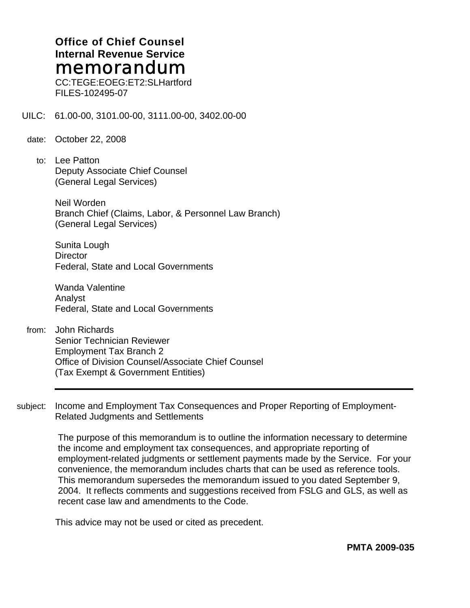### **Office of Chief Counsel Internal Revenue Service**  memorandum

CC:TEGE:EOEG:ET2:SLHartford FILES-102495-07

UILC: 61.00-00, 3101.00-00, 3111.00-00, 3402.00-00

- date: October 22, 2008
	- to: Lee Patton Deputy Associate Chief Counsel (General Legal Services)

Neil Worden Branch Chief (Claims, Labor, & Personnel Law Branch) (General Legal Services)

Sunita Lough **Director** Federal, State and Local Governments

Wanda Valentine Analyst Federal, State and Local Governments

- from: John Richards Senior Technician Reviewer Employment Tax Branch 2 Office of Division Counsel/Associate Chief Counsel (Tax Exempt & Government Entities)
- subject: Income and Employment Tax Consequences and Proper Reporting of Employment-Related Judgments and Settlements

The purpose of this memorandum is to outline the information necessary to determine the income and employment tax consequences, and appropriate reporting of employment-related judgments or settlement payments made by the Service. For your convenience, the memorandum includes charts that can be used as reference tools. This memorandum supersedes the memorandum issued to you dated September 9, 2004. It reflects comments and suggestions received from FSLG and GLS, as well as recent case law and amendments to the Code.

This advice may not be used or cited as precedent.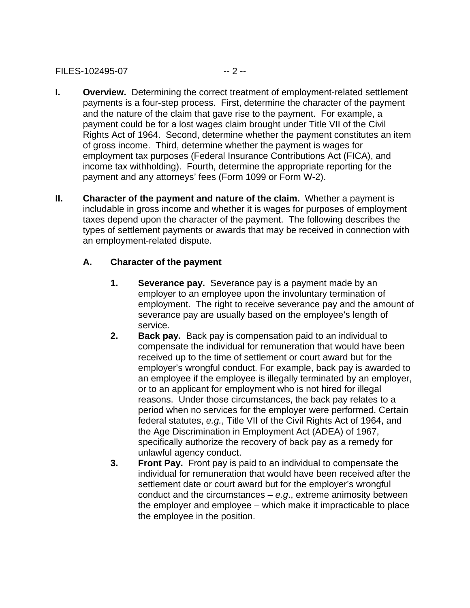#### FILES-102495-07 -- 2 --

- **I.** Overview. Determining the correct treatment of employment-related settlement payments is a four-step process. First, determine the character of the payment and the nature of the claim that gave rise to the payment. For example, a payment could be for a lost wages claim brought under Title VII of the Civil Rights Act of 1964. Second, determine whether the payment constitutes an item of gross income. Third, determine whether the payment is wages for employment tax purposes (Federal Insurance Contributions Act (FICA), and income tax withholding). Fourth, determine the appropriate reporting for the payment and any attorneys' fees (Form 1099 or Form W-2).
- **II.** Character of the payment and nature of the claim. Whether a payment is includable in gross income and whether it is wages for purposes of employment taxes depend upon the character of the payment. The following describes the types of settlement payments or awards that may be received in connection with an employment-related dispute.

#### **A. Character of the payment**

- **1. Severance pay.** Severance pay is a payment made by an employer to an employee upon the involuntary termination of employment. The right to receive severance pay and the amount of severance pay are usually based on the employee's length of service.
- **2. Back pay.** Back pay is compensation paid to an individual to compensate the individual for remuneration that would have been received up to the time of settlement or court award but for the employer's wrongful conduct. For example, back pay is awarded to an employee if the employee is illegally terminated by an employer, or to an applicant for employment who is not hired for illegal reasons. Under those circumstances, the back pay relates to a period when no services for the employer were performed. Certain federal statutes, *e.g.*, Title VII of the Civil Rights Act of 1964, and the Age Discrimination in Employment Act (ADEA) of 1967, specifically authorize the recovery of back pay as a remedy for unlawful agency conduct.
- **3. Front Pay.** Front pay is paid to an individual to compensate the individual for remuneration that would have been received after the settlement date or court award but for the employer's wrongful conduct and the circumstances – *e.g*., extreme animosity between the employer and employee – which make it impracticable to place the employee in the position.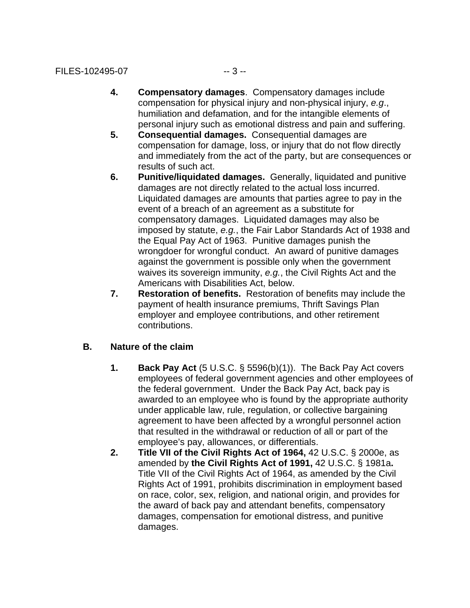- **4. Compensatory damages**. Compensatory damages include compensation for physical injury and non-physical injury, *e.g*., humiliation and defamation, and for the intangible elements of personal injury such as emotional distress and pain and suffering.
- **5. Consequential damages.** Consequential damages are compensation for damage, loss, or injury that do not flow directly and immediately from the act of the party, but are consequences or results of such act.
- **6. Punitive/liquidated damages.** Generally, liquidated and punitive damages are not directly related to the actual loss incurred. Liquidated damages are amounts that parties agree to pay in the event of a breach of an agreement as a substitute for compensatory damages. Liquidated damages may also be imposed by statute, *e.g.*, the Fair Labor Standards Act of 1938 and the Equal Pay Act of 1963. Punitive damages punish the wrongdoer for wrongful conduct. An award of punitive damages against the government is possible only when the government waives its sovereign immunity, *e.g.*, the Civil Rights Act and the Americans with Disabilities Act, below.
- **7. Restoration of benefits.** Restoration of benefits may include the payment of health insurance premiums, Thrift Savings Plan employer and employee contributions, and other retirement contributions.

#### **B. Nature of the claim**

- **1. Back Pay Act** (5 U.S.C. § 5596(b)(1)). The Back Pay Act covers employees of federal government agencies and other employees of the federal government. Under the Back Pay Act, back pay is awarded to an employee who is found by the appropriate authority under applicable law, rule, regulation, or collective bargaining agreement to have been affected by a wrongful personnel action that resulted in the withdrawal or reduction of all or part of the employee's pay, allowances, or differentials.
- **2. Title VII of the Civil Rights Act of 1964,** 42 U.S.C. § 2000e, as amended by **the Civil Rights Act of 1991,** 42 U.S.C. § 1981a**.**  Title VII of the Civil Rights Act of 1964, as amended by the Civil Rights Act of 1991, prohibits discrimination in employment based on race, color, sex, religion, and national origin, and provides for the award of back pay and attendant benefits, compensatory damages, compensation for emotional distress, and punitive damages.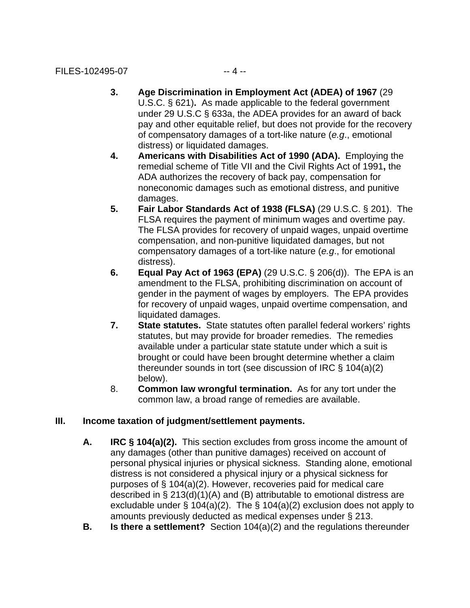- under 29 U.S.C § 633a, the ADEA provides for an award of back **3. Age Discrimination in Employment Act (ADEA) of 1967** (29 U.S.C. § 621)**.** As made applicable to the federal government pay and other equitable relief, but does not provide for the recovery of compensatory damages of a tort-like nature (*e.g*., emotional distress) or liquidated damages.
- **4. Americans with Disabilities Act of 1990 (ADA).** Employing the remedial scheme of Title VII and the Civil Rights Act of 1991**,** the ADA authorizes the recovery of back pay, compensation for noneconomic damages such as emotional distress, and punitive damages.
- **5. Fair Labor Standards Act of 1938 (FLSA)** (29 U.S.C. § 201). The FLSA requires the payment of minimum wages and overtime pay. The FLSA provides for recovery of unpaid wages, unpaid overtime compensation, and non-punitive liquidated damages, but not compensatory damages of a tort-like nature (*e.g*., for emotional distress).
- **6. Equal Pay Act of 1963 (EPA)** (29 U.S.C. § 206(d)). The EPA is an amendment to the FLSA, prohibiting discrimination on account of gender in the payment of wages by employers. The EPA provides for recovery of unpaid wages, unpaid overtime compensation, and liquidated damages.
- **7. State statutes.** State statutes often parallel federal workers' rights statutes, but may provide for broader remedies. The remedies available under a particular state statute under which a suit is brought or could have been brought determine whether a claim thereunder sounds in tort (see discussion of IRC § 104(a)(2) below).
- 8. **Common law wrongful termination.** As for any tort under the common law, a broad range of remedies are available.

### **III. Income taxation of judgment/settlement payments.**

- **A. IRC § 104(a)(2).** This section excludes from gross income the amount of any damages (other than punitive damages) received on account of personal physical injuries or physical sickness. Standing alone, emotional distress is not considered a physical injury or a physical sickness for purposes of § 104(a)(2). However, recoveries paid for medical care described in § 213(d)(1)(A) and (B) attributable to emotional distress are excludable under § 104(a)(2). The § 104(a)(2) exclusion does not apply to amounts previously deducted as medical expenses under § 213.
- **B. Is there a settlement?** Section 104(a)(2) and the regulations thereunder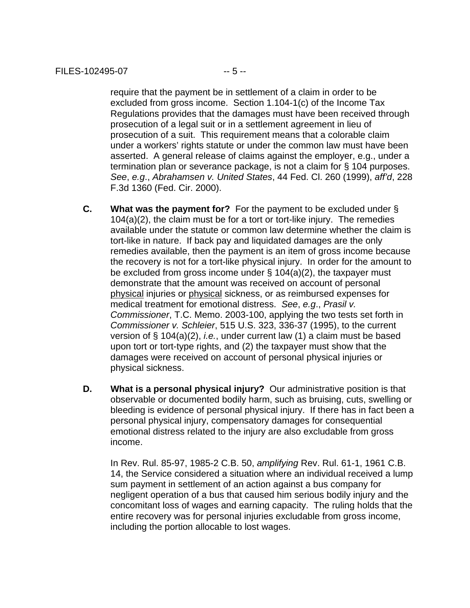require that the payment be in settlement of a claim in order to be excluded from gross income. Section 1.104-1(c) of the Income Tax Regulations provides that the damages must have been received through prosecution of a legal suit or in a settlement agreement in lieu of prosecution of a suit. This requirement means that a colorable claim under a workers' rights statute or under the common law must have been asserted. A general release of claims against the employer, e.g., under a termination plan or severance package, is not a claim for § 104 purposes. *See*, *e.g*., *Abrahamsen v. United States*, 44 Fed. Cl. 260 (1999), *aff'd*, 228 F.3d 1360 (Fed. Cir. 2000).

- **C. What was the payment for?** For the payment to be excluded under § 104(a)(2), the claim must be for a tort or tort-like injury. The remedies available under the statute or common law determine whether the claim is tort-like in nature. If back pay and liquidated damages are the only remedies available, then the payment is an item of gross income because the recovery is not for a tort-like physical injury. In order for the amount to be excluded from gross income under § 104(a)(2), the taxpayer must demonstrate that the amount was received on account of personal physical injuries or physical sickness, or as reimbursed expenses for medical treatment for emotional distress. *See*, *e.g*., *Prasil v. Commissioner*, T.C. Memo. 2003-100, applying the two tests set forth in *Commissioner v. Schleier*, 515 U.S. 323, 336-37 (1995), to the current version of § 104(a)(2), *i.e.*, under current law (1) a claim must be based upon tort or tort-type rights, and (2) the taxpayer must show that the damages were received on account of personal physical injuries or physical sickness.
- **D.** What is a personal physical injury? Our administrative position is that observable or documented bodily harm, such as bruising, cuts, swelling or bleeding is evidence of personal physical injury. If there has in fact been a personal physical injury, compensatory damages for consequential emotional distress related to the injury are also excludable from gross income.

In Rev. Rul. 85-97, 1985-2 C.B. 50, *amplifying* Rev. Rul. 61-1, 1961 C.B. 14, the Service considered a situation where an individual received a lump sum payment in settlement of an action against a bus company for negligent operation of a bus that caused him serious bodily injury and the concomitant loss of wages and earning capacity. The ruling holds that the entire recovery was for personal injuries excludable from gross income, including the portion allocable to lost wages.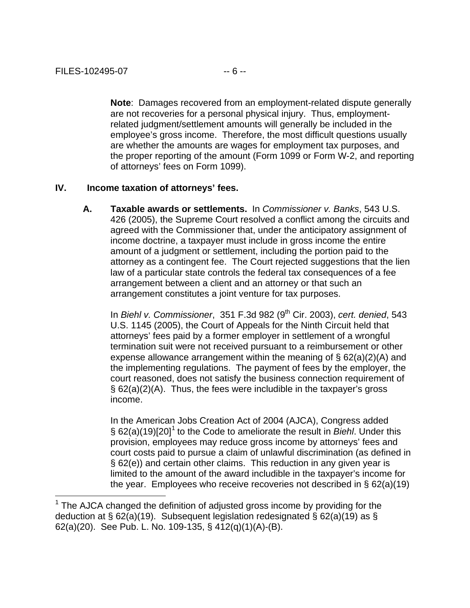$\overline{a}$ 

**Note**: Damages recovered from an employment-related dispute generally are not recoveries for a personal physical injury. Thus, employmentrelated judgment/settlement amounts will generally be included in the employee's gross income. Therefore, the most difficult questions usually are whether the amounts are wages for employment tax purposes, and the proper reporting of the amount (Form 1099 or Form W-2, and reporting of attorneys' fees on Form 1099).

#### **IV. Income taxation of attorneys' fees.**

**A. Taxable awards or settlements.** In *Commissioner v. Banks*, 543 U.S. 426 (2005), the Supreme Court resolved a conflict among the circuits and agreed with the Commissioner that, under the anticipatory assignment of income doctrine, a taxpayer must include in gross income the entire amount of a judgment or settlement, including the portion paid to the attorney as a contingent fee. The Court rejected suggestions that the lien law of a particular state controls the federal tax consequences of a fee arrangement between a client and an attorney or that such an arrangement constitutes a joint venture for tax purposes.

In *Biehl v. Commissioner*, 351 F.3d 982 (9th Cir. 2003), *cert. denied*, 543 U.S. 1145 (2005), the Court of Appeals for the Ninth Circuit held that attorneys' fees paid by a former employer in settlement of a wrongful termination suit were not received pursuant to a reimbursement or other expense allowance arrangement within the meaning of § 62(a)(2)(A) and the implementing regulations. The payment of fees by the employer, the court reasoned, does not satisfy the business connection requirement of § 62(a)(2)(A). Thus, the fees were includible in the taxpayer's gross income.

In the American Jobs Creation Act of 2004 (AJCA), Congress added § 62(a)(19)[20][1](#page-5-0) to the Code to ameliorate the result in *Biehl*. Under this provision, employees may reduce gross income by attorneys' fees and court costs paid to pursue a claim of unlawful discrimination (as defined in § 62(e)) and certain other claims. This reduction in any given year is limited to the amount of the award includible in the taxpayer's income for the year. Employees who receive recoveries not described in § 62(a)(19)

<span id="page-5-0"></span><sup>&</sup>lt;sup>1</sup> The AJCA changed the definition of adjusted gross income by providing for the deduction at § 62(a)(19). Subsequent legislation redesignated § 62(a)(19) as § 62(a)(20). See Pub. L. No. 109-135, § 412(q)(1)(A)-(B).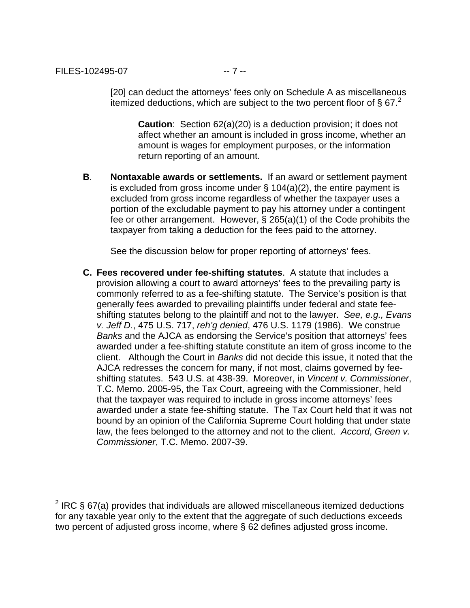itemized deductions, which are subject to the two percent floor of § 67. $^2$  $^2$ [20] can deduct the attorneys' fees only on Schedule A as miscellaneous

**Caution:** Section 62(a)(20) is a deduction provision; it does not affect whether an amount is included in gross income, whether an amount is wages for employment purposes, or the information return reporting of an amount.

**B**. **Nontaxable awards or settlements.** If an award or settlement payment is excluded from gross income under  $\S$  104(a)(2), the entire payment is excluded from gross income regardless of whether the taxpayer uses a portion of the excludable payment to pay his attorney under a contingent fee or other arrangement. However, § 265(a)(1) of the Code prohibits the taxpayer from taking a deduction for the fees paid to the attorney.

See the discussion below for proper reporting of attorneys' fees.

**C. Fees recovered under fee-shifting statutes**. A statute that includes a provision allowing a court to award attorneys' fees to the prevailing party is commonly referred to as a fee-shifting statute. The Service's position is that generally fees awarded to prevailing plaintiffs under federal and state feeshifting statutes belong to the plaintiff and not to the lawyer. *See, e.g., Evans v. Jeff D.*, 475 U.S. 717, *reh'g denied*, 476 U.S. 1179 (1986). We construe *Banks* and the AJCA as endorsing the Service's position that attorneys' fees awarded under a fee-shifting statute constitute an item of gross income to the client. Although the Court in *Banks* did not decide this issue, it noted that the AJCA redresses the concern for many, if not most, claims governed by feeshifting statutes. 543 U.S. at 438-39. Moreover, in *Vincent v. Commissioner*, T.C. Memo. 2005-95, the Tax Court, agreeing with the Commissioner, held that the taxpayer was required to include in gross income attorneys' fees awarded under a state fee-shifting statute. The Tax Court held that it was not bound by an opinion of the California Supreme Court holding that under state law, the fees belonged to the attorney and not to the client. *Accord*, *Green v. Commissioner*, T.C. Memo. 2007-39.

<span id="page-6-0"></span> 2 IRC § 67(a) provides that individuals are allowed miscellaneous itemized deductions for any taxable year only to the extent that the aggregate of such deductions exceeds two percent of adjusted gross income, where § 62 defines adjusted gross income.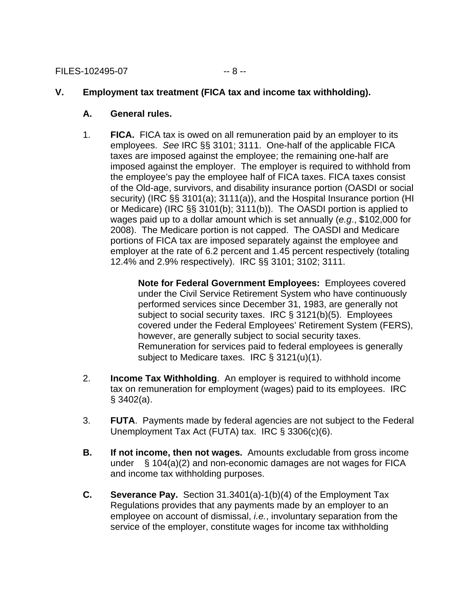#### **V. Employment tax treatment (FICA tax and income tax withholding).**

- **A. General rules.**
- employees. *See* IRC §§ 3101; 3111. One-half of the applicable FICA 1. **FICA.** FICA tax is owed on all remuneration paid by an employer to its taxes are imposed against the employee; the remaining one-half are imposed against the employer. The employer is required to withhold from the employee's pay the employee half of FICA taxes. FICA taxes consist of the Old-age, survivors, and disability insurance portion (OASDI or social security) (IRC §§ 3101(a); 3111(a)), and the Hospital Insurance portion (HI or Medicare) (IRC §§ 3101(b); 3111(b)). The OASDI portion is applied to wages paid up to a dollar amount which is set annually (*e.g*., \$102,000 for 2008). The Medicare portion is not capped. The OASDI and Medicare portions of FICA tax are imposed separately against the employee and employer at the rate of 6.2 percent and 1.45 percent respectively (totaling 12.4% and 2.9% respectively). IRC §§ 3101; 3102; 3111.

**Note for Federal Government Employees:** Employees covered under the Civil Service Retirement System who have continuously performed services since December 31, 1983, are generally not subject to social security taxes. IRC § 3121(b)(5). Employees covered under the Federal Employees' Retirement System (FERS), however, are generally subject to social security taxes. Remuneration for services paid to federal employees is generally subject to Medicare taxes. IRC § 3121(u)(1).

- 2. **Income Tax Withholding**. An employer is required to withhold income tax on remuneration for employment (wages) paid to its employees. IRC  $§$  3402(a).
- 3. **FUTA**. Payments made by federal agencies are not subject to the Federal Unemployment Tax Act (FUTA) tax. IRC § 3306(c)(6).
- under § 104(a)(2) and non-economic damages are not wages for FICA **B.** If not income, then not wages. Amounts excludable from gross income and income tax withholding purposes.
- **C. Severance Pay.** Section 31.3401(a)-1(b)(4) of the Employment Tax Regulations provides that any payments made by an employer to an employee on account of dismissal, *i.e.*, involuntary separation from the service of the employer, constitute wages for income tax withholding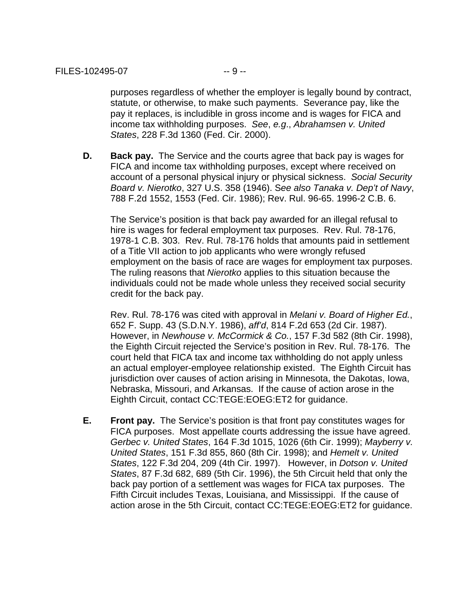purposes regardless of whether the employer is legally bound by contract, statute, or otherwise, to make such payments. Severance pay, like the pay it replaces, is includible in gross income and is wages for FICA and income tax withholding purposes. *See*, *e.g*., *Abrahamsen v. United States*, 228 F.3d 1360 (Fed. Cir. 2000).

**D. Back pay.** The Service and the courts agree that back pay is wages for FICA and income tax withholding purposes, except where received on account of a personal physical injury or physical sickness. *Social Security Board v. Nierotko*, 327 U.S. 358 (1946). S*ee also Tanaka v. Dep't of Navy*, 788 F.2d 1552, 1553 (Fed. Cir. 1986); Rev. Rul. 96-65. 1996-2 C.B. 6.

The Service's position is that back pay awarded for an illegal refusal to hire is wages for federal employment tax purposes. Rev. Rul. 78-176, 1978-1 C.B. 303. Rev. Rul. 78-176 holds that amounts paid in settlement of a Title VII action to job applicants who were wrongly refused employment on the basis of race are wages for employment tax purposes. The ruling reasons that *Nierotko* applies to this situation because the individuals could not be made whole unless they received social security credit for the back pay.

Rev. Rul. 78-176 was cited with approval in *Melani v. Board of Higher Ed.*, 652 F. Supp. 43 (S.D.N.Y. 1986), *aff'd*, 814 F.2d 653 (2d Cir. 1987). However, in *Newhouse v. McCormick & Co.*, 157 F.3d 582 (8th Cir. 1998), the Eighth Circuit rejected the Service's position in Rev. Rul. 78-176. The court held that FICA tax and income tax withholding do not apply unless an actual employer-employee relationship existed. The Eighth Circuit has jurisdiction over causes of action arising in Minnesota, the Dakotas, Iowa, Nebraska, Missouri, and Arkansas. If the cause of action arose in the Eighth Circuit, contact CC:TEGE:EOEG:ET2 for guidance.

**E.** Front pay. The Service's position is that front pay constitutes wages for FICA purposes. Most appellate courts addressing the issue have agreed. *Gerbec v. United States*, 164 F.3d 1015, 1026 (6th Cir. 1999); *Mayberry v. United States*, 151 F.3d 855, 860 (8th Cir. 1998); and *Hemelt v. United States*, 122 F.3d 204, 209 (4th Cir. 1997). However, in *Dotson v. United States*, 87 F.3d 682, 689 (5th Cir. 1996), the 5th Circuit held that only the back pay portion of a settlement was wages for FICA tax purposes. The Fifth Circuit includes Texas, Louisiana, and Mississippi. If the cause of action arose in the 5th Circuit, contact CC:TEGE:EOEG:ET2 for guidance.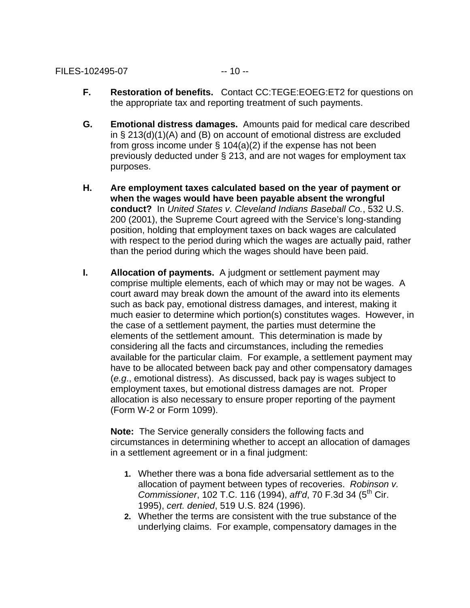- **F.** Restoration of benefits. Contact CC:TEGE:EOEG:ET2 for questions on the appropriate tax and reporting treatment of such payments.
- **G. Emotional distress damages.** Amounts paid for medical care described in § 213(d)(1)(A) and (B) on account of emotional distress are excluded from gross income under § 104(a)(2) if the expense has not been previously deducted under § 213, and are not wages for employment tax purposes.
- **H. Are employment taxes calculated based on the year of payment or when the wages would have been payable absent the wrongful conduct?** In *United States v. Cleveland Indians Baseball Co.*, 532 U.S. 200 (2001), the Supreme Court agreed with the Service's long-standing position, holding that employment taxes on back wages are calculated with respect to the period during which the wages are actually paid, rather than the period during which the wages should have been paid.
- **I.** Allocation of payments. A judgment or settlement payment may comprise multiple elements, each of which may or may not be wages. A court award may break down the amount of the award into its elements such as back pay, emotional distress damages, and interest, making it much easier to determine which portion(s) constitutes wages. However, in the case of a settlement payment, the parties must determine the elements of the settlement amount. This determination is made by considering all the facts and circumstances, including the remedies available for the particular claim. For example, a settlement payment may have to be allocated between back pay and other compensatory damages (*e.g*., emotional distress). As discussed, back pay is wages subject to employment taxes, but emotional distress damages are not. Proper allocation is also necessary to ensure proper reporting of the payment (Form W-2 or Form 1099).

**Note:** The Service generally considers the following facts and circumstances in determining whether to accept an allocation of damages in a settlement agreement or in a final judgment:

- **1.** Whether there was a bona fide adversarial settlement as to the allocation of payment between types of recoveries. *Robinson v. Commissioner*, 102 T.C. 116 (1994), *aff'd*, 70 F.3d 34 (5th Cir. 1995), *cert. denied*, 519 U.S. 824 (1996).
- **2.** Whether the terms are consistent with the true substance of the underlying claims. For example, compensatory damages in the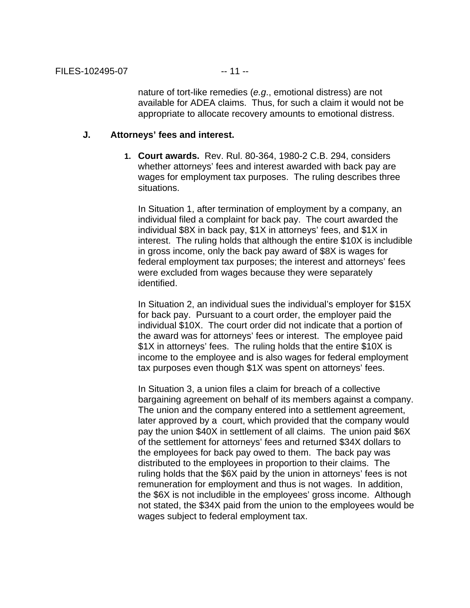nature of tort-like remedies (*e.g*., emotional distress) are not available for ADEA claims. Thus, for such a claim it would not be appropriate to allocate recovery amounts to emotional distress.

#### **J. Attorneys' fees and interest.**

**1. Court awards.** Rev. Rul. 80-364, 1980-2 C.B. 294, considers whether attorneys' fees and interest awarded with back pay are wages for employment tax purposes. The ruling describes three situations.

In Situation 1, after termination of employment by a company, an individual filed a complaint for back pay. The court awarded the individual \$8X in back pay, \$1X in attorneys' fees, and \$1X in interest. The ruling holds that although the entire \$10X is includible in gross income, only the back pay award of \$8X is wages for federal employment tax purposes; the interest and attorneys' fees were excluded from wages because they were separately identified.

In Situation 2, an individual sues the individual's employer for \$15X for back pay. Pursuant to a court order, the employer paid the individual \$10X. The court order did not indicate that a portion of the award was for attorneys' fees or interest. The employee paid \$1X in attorneys' fees. The ruling holds that the entire \$10X is income to the employee and is also wages for federal employment tax purposes even though \$1X was spent on attorneys' fees.

In Situation 3, a union files a claim for breach of a collective bargaining agreement on behalf of its members against a company. The union and the company entered into a settlement agreement, later approved by a court, which provided that the company would pay the union \$40X in settlement of all claims. The union paid \$6X of the settlement for attorneys' fees and returned \$34X dollars to the employees for back pay owed to them. The back pay was distributed to the employees in proportion to their claims. The ruling holds that the \$6X paid by the union in attorneys' fees is not remuneration for employment and thus is not wages. In addition, the \$6X is not includible in the employees' gross income. Although not stated, the \$34X paid from the union to the employees would be wages subject to federal employment tax.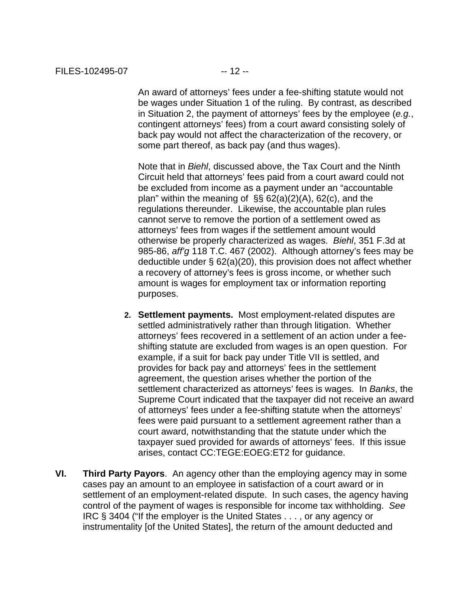An award of attorneys' fees under a fee-shifting statute would not be wages under Situation 1 of the ruling. By contrast, as described in Situation 2, the payment of attorneys' fees by the employee (*e.g.*, contingent attorneys' fees) from a court award consisting solely of back pay would not affect the characterization of the recovery, or some part thereof, as back pay (and thus wages).

Note that in *Biehl*, discussed above, the Tax Court and the Ninth Circuit held that attorneys' fees paid from a court award could not be excluded from income as a payment under an "accountable plan" within the meaning of §§ 62(a)(2)(A), 62(c), and the regulations thereunder. Likewise, the accountable plan rules cannot serve to remove the portion of a settlement owed as attorneys' fees from wages if the settlement amount would otherwise be properly characterized as wages. *Biehl*, 351 F.3d at 985-86, *aff'g* 118 T.C. 467 (2002). Although attorney's fees may be deductible under § 62(a)(20), this provision does not affect whether a recovery of attorney's fees is gross income, or whether such amount is wages for employment tax or information reporting purposes.

- **2. Settlement payments.** Most employment-related disputes are settled administratively rather than through litigation. Whether attorneys' fees recovered in a settlement of an action under a feeshifting statute are excluded from wages is an open question. For example, if a suit for back pay under Title VII is settled, and provides for back pay and attorneys' fees in the settlement agreement, the question arises whether the portion of the settlement characterized as attorneys' fees is wages. In *Banks*, the Supreme Court indicated that the taxpayer did not receive an award of attorneys' fees under a fee-shifting statute when the attorneys' fees were paid pursuant to a settlement agreement rather than a court award, notwithstanding that the statute under which the taxpayer sued provided for awards of attorneys' fees. If this issue arises, contact CC:TEGE:EOEG:ET2 for guidance.
- **VI. Third Party Payors**. An agency other than the employing agency may in some cases pay an amount to an employee in satisfaction of a court award or in settlement of an employment-related dispute. In such cases, the agency having control of the payment of wages is responsible for income tax withholding. *See*  IRC § 3404 ("If the employer is the United States . . . , or any agency or instrumentality [of the United States], the return of the amount deducted and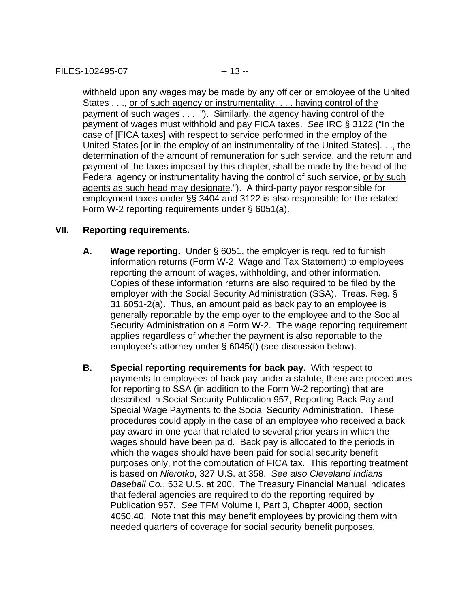withheld upon any wages may be made by any officer or employee of the United States . . ., or of such agency or instrumentality, . . . having control of the payment of such wages . . . ."). Similarly, the agency having control of the payment of wages must withhold and pay FICA taxes. *See* IRC § 3122 ("In the case of [FICA taxes] with respect to service performed in the employ of the United States [or in the employ of an instrumentality of the United States]. . ., the determination of the amount of remuneration for such service, and the return and payment of the taxes imposed by this chapter, shall be made by the head of the Federal agency or instrumentality having the control of such service, or by such agents as such head may designate."). A third-party payor responsible for employment taxes under §§ 3404 and 3122 is also responsible for the related Form W-2 reporting requirements under § 6051(a).

#### **VII. Reporting requirements.**

- **A. Wage reporting.** Under § 6051, the employer is required to furnish information returns (Form W-2, Wage and Tax Statement) to employees reporting the amount of wages, withholding, and other information. Copies of these information returns are also required to be filed by the employer with the Social Security Administration (SSA). Treas. Reg. § 31.6051-2(a). Thus, an amount paid as back pay to an employee is generally reportable by the employer to the employee and to the Social Security Administration on a Form W-2. The wage reporting requirement applies regardless of whether the payment is also reportable to the employee's attorney under § 6045(f) (see discussion below).
- **B. Special reporting requirements for back pay.** With respect to payments to employees of back pay under a statute, there are procedures for reporting to SSA (in addition to the Form W-2 reporting) that are described in Social Security Publication 957, Reporting Back Pay and Special Wage Payments to the Social Security Administration. These procedures could apply in the case of an employee who received a back pay award in one year that related to several prior years in which the wages should have been paid. Back pay is allocated to the periods in which the wages should have been paid for social security benefit purposes only, not the computation of FICA tax. This reporting treatment is based on *Nierotko*, 327 U.S. at 358. *See also Cleveland Indians Baseball Co.*, 532 U.S. at 200. The Treasury Financial Manual indicates that federal agencies are required to do the reporting required by Publication 957. *See* TFM Volume I, Part 3, Chapter 4000, section 4050.40. Note that this may benefit employees by providing them with needed quarters of coverage for social security benefit purposes.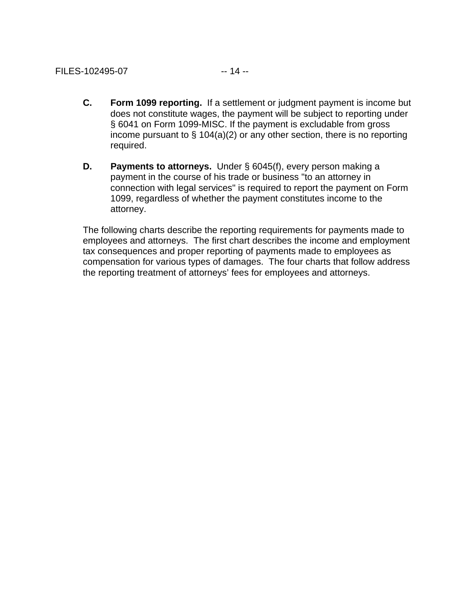- **C. Form 1099 reporting.** If a settlement or judgment payment is income but does not constitute wages, the payment will be subject to reporting under § 6041 on Form 1099-MISC. If the payment is excludable from gross income pursuant to § 104(a)(2) or any other section, there is no reporting required.
- **D.** Payments to attorneys. Under § 6045(f), every person making a payment in the course of his trade or business "to an attorney in connection with legal services" is required to report the payment on Form 1099, regardless of whether the payment constitutes income to the attorney.

The following charts describe the reporting requirements for payments made to employees and attorneys. The first chart describes the income and employment tax consequences and proper reporting of payments made to employees as compensation for various types of damages. The four charts that follow address the reporting treatment of attorneys' fees for employees and attorneys.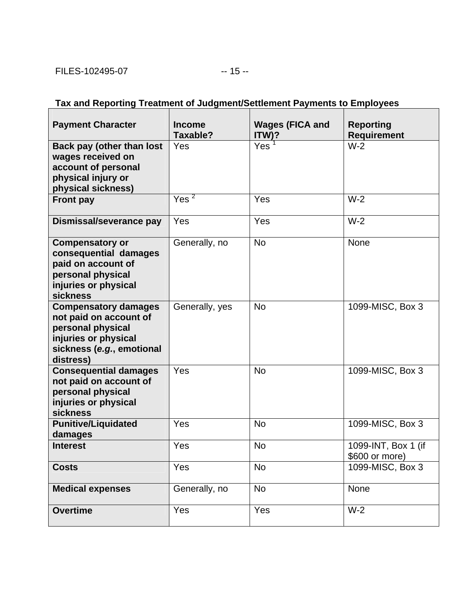$\overline{\phantom{a}}$ 

# **Tax and Reporting Treatment of Judgment/Settlement Payments to Employees**

| <b>Payment Character</b>                                                                                                                     | <b>Income</b><br>Taxable? | <b>Wages (FICA and</b><br>ITW)? | <b>Reporting</b><br><b>Requirement</b> |
|----------------------------------------------------------------------------------------------------------------------------------------------|---------------------------|---------------------------------|----------------------------------------|
| Back pay (other than lost<br>wages received on<br>account of personal<br>physical injury or<br>physical sickness)                            | Yes                       | Yes <sup>7</sup>                | $W-2$                                  |
| <b>Front pay</b>                                                                                                                             | $Yes^2$                   | Yes                             | $W-2$                                  |
| Dismissal/severance pay                                                                                                                      | Yes                       | Yes                             | $W-2$                                  |
| <b>Compensatory or</b><br>consequential damages<br>paid on account of<br>personal physical<br>injuries or physical<br><b>sickness</b>        | Generally, no             | <b>No</b>                       | None                                   |
| <b>Compensatory damages</b><br>not paid on account of<br>personal physical<br>injuries or physical<br>sickness (e.g., emotional<br>distress) | Generally, yes            | <b>No</b>                       | 1099-MISC, Box 3                       |
| <b>Consequential damages</b><br>not paid on account of<br>personal physical<br>injuries or physical<br><b>sickness</b>                       | Yes                       | <b>No</b>                       | 1099-MISC, Box 3                       |
| <b>Punitive/Liquidated</b><br>damages                                                                                                        | Yes                       | <b>No</b>                       | 1099-MISC, Box 3                       |
| <b>Interest</b>                                                                                                                              | Yes                       | <b>No</b>                       | 1099-INT, Box 1 (if<br>\$600 or more)  |
| <b>Costs</b>                                                                                                                                 | Yes                       | <b>No</b>                       | 1099-MISC, Box 3                       |
| <b>Medical expenses</b>                                                                                                                      | Generally, no             | <b>No</b>                       | None                                   |
| <b>Overtime</b>                                                                                                                              | Yes                       | Yes                             | $W-2$                                  |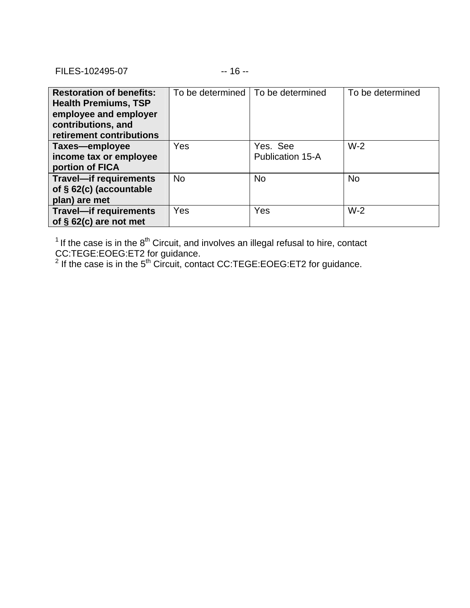FILES-102495-07 -- 16 --

| <b>Restoration of benefits:</b><br><b>Health Premiums, TSP</b><br>employee and employer<br>contributions, and<br>retirement contributions |           | To be determined   To be determined | To be determined |
|-------------------------------------------------------------------------------------------------------------------------------------------|-----------|-------------------------------------|------------------|
| Taxes-employee<br>income tax or employee<br>portion of FICA                                                                               | Yes       | Yes. See<br><b>Publication 15-A</b> | $W-2$            |
| <b>Travel-if requirements</b><br>of § 62(c) (accountable<br>plan) are met                                                                 | <b>No</b> | <b>No</b>                           | <b>No</b>        |
| <b>Travel-if requirements</b><br>of $§$ 62(c) are not met                                                                                 | Yes       | Yes                                 | $W-2$            |

 $1$  If the case is in the  $8<sup>th</sup>$  Circuit, and involves an illegal refusal to hire, contact

CC:TEGE:EOEG:ET2 for guidance.<br><sup>2</sup> If the case is in the 5<sup>th</sup> Circuit, contact CC:TEGE:EOEG:ET2 for guidance.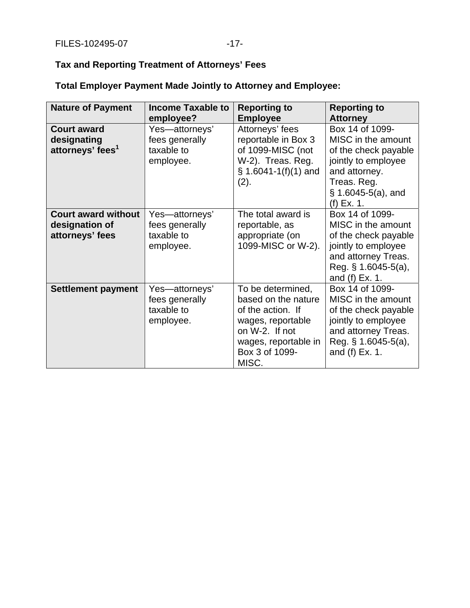# **Tax and Reporting Treatment of Attorneys' Fees**

| <b>Total Employer Payment Made Jointly to Attorney and Employee:</b> |  |  |  |
|----------------------------------------------------------------------|--|--|--|
|                                                                      |  |  |  |

| <b>Nature of Payment</b>                                          | <b>Income Taxable to</b><br>employee?                       | <b>Reporting to</b><br><b>Employee</b>                                                                                                                  | <b>Reporting to</b><br><b>Attorney</b>                                                                                                                        |
|-------------------------------------------------------------------|-------------------------------------------------------------|---------------------------------------------------------------------------------------------------------------------------------------------------------|---------------------------------------------------------------------------------------------------------------------------------------------------------------|
| <b>Court award</b><br>designating<br>attorneys' fees <sup>1</sup> | Yes-attorneys'<br>fees generally<br>taxable to<br>employee. | Attorneys' fees<br>reportable in Box 3<br>of 1099-MISC (not<br>W-2). Treas. Reg.<br>$$1.6041-1(f)(1)$ and<br>(2).                                       | Box 14 of 1099-<br>MISC in the amount<br>of the check payable<br>jointly to employee<br>and attorney.<br>Treas. Reg.<br>$\S$ 1.6045-5(a), and<br>$(f)$ Ex. 1. |
| <b>Court award without</b><br>designation of<br>attorneys' fees   | Yes-attorneys'<br>fees generally<br>taxable to<br>employee. | The total award is<br>reportable, as<br>appropriate (on<br>1099-MISC or W-2).                                                                           | Box 14 of 1099-<br>MISC in the amount<br>of the check payable<br>jointly to employee<br>and attorney Treas.<br>Reg. $\S$ 1.6045-5(a),<br>and (f) Ex. 1.       |
| <b>Settlement payment</b>                                         | Yes—attorneys'<br>fees generally<br>taxable to<br>employee. | To be determined,<br>based on the nature<br>of the action. If<br>wages, reportable<br>on W-2. If not<br>wages, reportable in<br>Box 3 of 1099-<br>MISC. | Box 14 of 1099-<br>MISC in the amount<br>of the check payable<br>jointly to employee<br>and attorney Treas.<br>Reg. $§ 1.6045-5(a)$ ,<br>and (f) Ex. 1.       |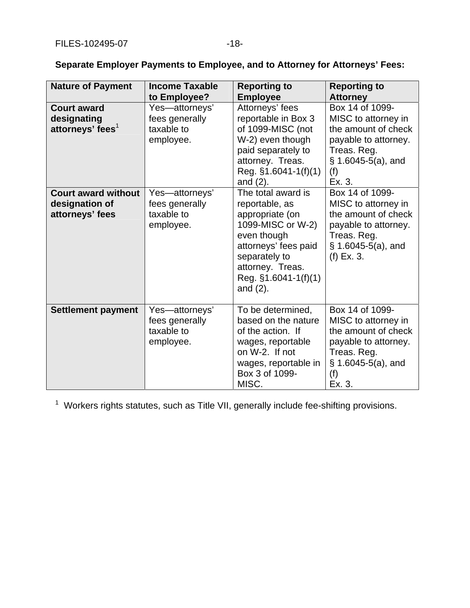| <b>Nature of Payment</b>                                          | <b>Income Taxable</b><br>to Employee?                       | <b>Reporting to</b><br><b>Employee</b>                                                                                                                                                            | <b>Reporting to</b><br><b>Attorney</b>                                                                                                         |
|-------------------------------------------------------------------|-------------------------------------------------------------|---------------------------------------------------------------------------------------------------------------------------------------------------------------------------------------------------|------------------------------------------------------------------------------------------------------------------------------------------------|
| <b>Court award</b><br>designating<br>attorneys' fees <sup>1</sup> | Yes-attorneys'<br>fees generally<br>taxable to<br>employee. | Attorneys' fees<br>reportable in Box 3<br>of 1099-MISC (not<br>W-2) even though<br>paid separately to<br>attorney. Treas.<br>Reg. $§1.6041-1(f)(1)$<br>and $(2)$ .                                | Box 14 of 1099-<br>MISC to attorney in<br>the amount of check<br>payable to attorney.<br>Treas. Reg.<br>$\S$ 1.6045-5(a), and<br>(f)<br>Ex. 3. |
| <b>Court award without</b><br>designation of<br>attorneys' fees   | Yes-attorneys'<br>fees generally<br>taxable to<br>employee. | The total award is<br>reportable, as<br>appropriate (on<br>1099-MISC or W-2)<br>even though<br>attorneys' fees paid<br>separately to<br>attorney. Treas.<br>Reg. $§1.6041-1(f)(1)$<br>and $(2)$ . | Box 14 of 1099-<br>MISC to attorney in<br>the amount of check<br>payable to attorney.<br>Treas. Reg.<br>$\S$ 1.6045-5(a), and<br>$(f)$ Ex. 3.  |
| <b>Settlement payment</b>                                         | Yes-attorneys'<br>fees generally<br>taxable to<br>employee. | To be determined,<br>based on the nature<br>of the action. If<br>wages, reportable<br>on W-2. If not<br>wages, reportable in<br>Box 3 of 1099-<br>MISC.                                           | Box 14 of 1099-<br>MISC to attorney in<br>the amount of check<br>payable to attorney.<br>Treas. Reg.<br>$§$ 1.6045-5(a), and<br>(f)<br>Ex. 3.  |

**Separate Employer Payments to Employee, and to Attorney for Attorneys' Fees:** 

<sup>1</sup> Workers rights statutes, such as Title VII, generally include fee-shifting provisions.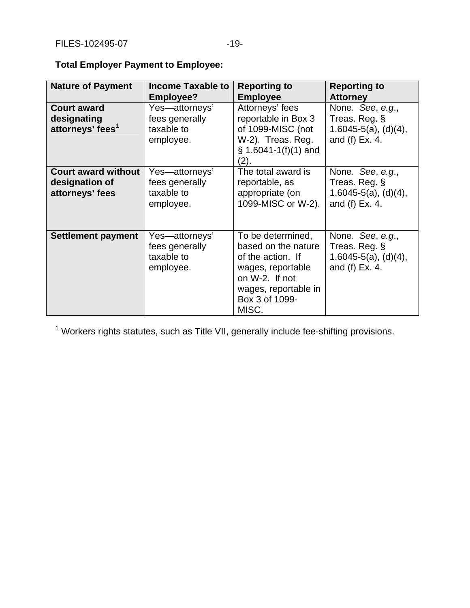| <b>Nature of Payment</b>                                          | <b>Income Taxable to</b>                                    | <b>Reporting to</b>                                                                                                                                     | <b>Reporting to</b>                                                            |
|-------------------------------------------------------------------|-------------------------------------------------------------|---------------------------------------------------------------------------------------------------------------------------------------------------------|--------------------------------------------------------------------------------|
|                                                                   | Employee?                                                   | <b>Employee</b>                                                                                                                                         | <b>Attorney</b>                                                                |
| <b>Court award</b><br>designating<br>attorneys' fees <sup>1</sup> | Yes-attorneys'<br>fees generally<br>taxable to<br>employee. | Attorneys' fees<br>reportable in Box 3<br>of 1099-MISC (not<br>W-2). Treas. Reg.<br>$$1.6041-1(f)(1)$ and<br>2).                                        | None. See, e.g.,<br>Treas. Reg. §<br>$1.6045-5(a), (d)(4),$<br>and (f) Ex. 4.  |
| <b>Court award without</b><br>designation of<br>attorneys' fees   | Yes-attorneys'<br>fees generally<br>taxable to<br>employee. | The total award is<br>reportable, as<br>appropriate (on<br>1099-MISC or W-2).                                                                           | None. See, e.g.,<br>Treas. Reg. §<br>$1.6045-5(a)$ , (d)(4),<br>and (f) Ex. 4. |
| Settlement payment                                                | Yes-attorneys'<br>fees generally<br>taxable to<br>employee. | To be determined,<br>based on the nature<br>of the action. If<br>wages, reportable<br>on W-2. If not<br>wages, reportable in<br>Box 3 of 1099-<br>MISC. | None. See, e.g.,<br>Treas. Reg. §<br>$1.6045-5(a), (d)(4),$<br>and (f) Ex. 4.  |

**Total Employer Payment to Employee:** 

<sup>1</sup> Workers rights statutes, such as Title VII, generally include fee-shifting provisions.